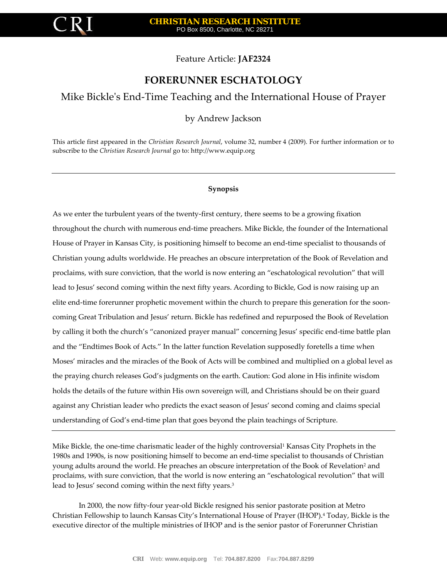

Feature Article: **JAF2324**

# **FORERUNNER ESCHATOLOGY**

# Mike Bickle's End-Time Teaching and the International House of Prayer

by Andrew Jackson

This article first appeared in the *Christian Research Journal*, volume 32, number 4 (2009). For further information or to subscribe to the *Christian Research Journal* go to[: http://www.equip.org](http://www.equip.org/)

#### **Synopsis**

As we enter the turbulent years of the twenty-first century, there seems to be a growing fixation throughout the church with numerous end-time preachers. Mike Bickle, the founder of the International House of Prayer in Kansas City, is positioning himself to become an end-time specialist to thousands of Christian young adults worldwide. He preaches an obscure interpretation of the Book of Revelation and proclaims, with sure conviction, that the world is now entering an "eschatological revolution" that will lead to Jesus' second coming within the next fifty years. Acording to Bickle, God is now raising up an elite end-time forerunner prophetic movement within the church to prepare this generation for the sooncoming Great Tribulation and Jesus' return. Bickle has redefined and repurposed the Book of Revelation by calling it both the church's "canonized prayer manual" concerning Jesus' specific end-time battle plan and the "Endtimes Book of Acts." In the latter function Revelation supposedly foretells a time when Moses' miracles and the miracles of the Book of Acts will be combined and multiplied on a global level as the praying church releases God's judgments on the earth. Caution: God alone in His infinite wisdom holds the details of the future within His own sovereign will, and Christians should be on their guard against any Christian leader who predicts the exact season of Jesus' second coming and claims special understanding of God's end-time plan that goes beyond the plain teachings of Scripture.

Mike Bickle, the one-time charismatic leader of the highly controversial<sup>1</sup> Kansas City Prophets in the 1980s and 1990s, is now positioning himself to become an end-time specialist to thousands of Christian young adults around the world. He preaches an obscure interpretation of the Book of Revelation<sup>2</sup> and proclaims, with sure conviction, that the world is now entering an "eschatological revolution" that will lead to Jesus' second coming within the next fifty years.<sup>3</sup>

In 2000, the now fifty-four year-old Bickle resigned his senior pastorate position at Metro Christian Fellowship to launch Kansas City's International House of Prayer (IHOP).4 Today, Bickle is the executive director of the multiple ministries of IHOP and is the senior pastor of Forerunner Christian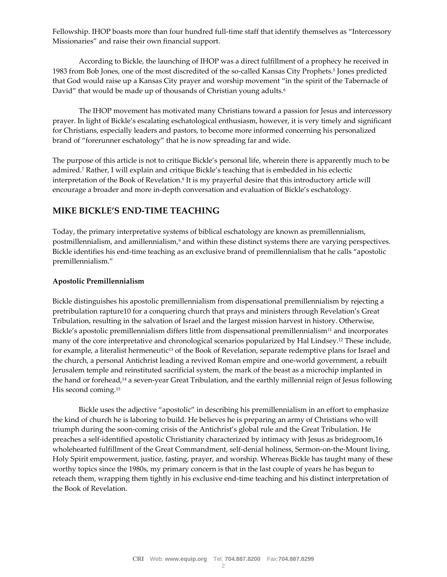Fellowship. IHOP boasts more than four hundred full-time staff that identify themselves as "Intercessory Missionaries" and raise their own financial support.

According to Bickle, the launching of IHOP was a direct fulfillment of a prophecy he received in 1983 from Bob Jones, one of the most discredited of the so-called Kansas City Prophets.5 Jones predicted that God would raise up a Kansas City prayer and worship movement "in the spirit of the Tabernacle of David" that would be made up of thousands of Christian young adults.<sup>6</sup>

The IHOP movement has motivated many Christians toward a passion for Jesus and intercessory prayer. In light of Bickle's escalating eschatological enthusiasm, however, it is very timely and significant for Christians, especially leaders and pastors, to become more informed concerning his personalized brand of "forerunner eschatology" that he is now spreading far and wide.

The purpose of this article is not to critique Bickle's personal life, wherein there is apparently much to be admired.7 Rather, I will explain and critique Bickle's teaching that is embedded in his eclectic interpretation of the Book of Revelation.8 It is my prayerful desire that this introductory article will encourage a broader and more in-depth conversation and evaluation of Bickle's eschatology.

## **MIKE BICKLE'S END-TIME TEACHING**

Today, the primary interpretative systems of biblical eschatology are known as premillennialism, postmillennialism, and amillennialism,<sup>9</sup> and within these distinct systems there are varying perspectives. Bickle identifies his end-time teaching as an exclusive brand of premillennialism that he calls "apostolic premillennialism."

#### **Apostolic Premillennialism**

Bickle distinguishes his apostolic premillennialism from dispensational premillennialism by rejecting a pretribulation rapture10 for a conquering church that prays and ministers through Revelation's Great Tribulation, resulting in the salvation of Israel and the largest mission harvest in history. Otherwise, Bickle's apostolic premillennialism differs little from dispensational premillennialism<sup>11</sup> and incorporates many of the core interpretative and chronological scenarios popularized by Hal Lindsey.12 These include, for example, a literalist hermeneutic<sup>13</sup> of the Book of Revelation, separate redemptive plans for Israel and the church, a personal Antichrist leading a revived Roman empire and one-world government, a rebuilt Jerusalem temple and reinstituted sacrificial system, the mark of the beast as a microchip implanted in the hand or forehead,14 a seven-year Great Tribulation, and the earthly millennial reign of Jesus following His second coming.15

Bickle uses the adjective "apostolic" in describing his premillennialism in an effort to emphasize the kind of church he is laboring to build. He believes he is preparing an army of Christians who will triumph during the soon-coming crisis of the Antichrist's global rule and the Great Tribulation. He preaches a self-identified apostolic Christianity characterized by intimacy with Jesus as bridegroom,16 wholehearted fulfillment of the Great Commandment, self-denial holiness, Sermon-on-the-Mount living, Holy Spirit empowerment, justice, fasting, prayer, and worship. Whereas Bickle has taught many of these worthy topics since the 1980s, my primary concern is that in the last couple of years he has begun to reteach them, wrapping them tightly in his exclusive end-time teaching and his distinct interpretation of the Book of Revelation.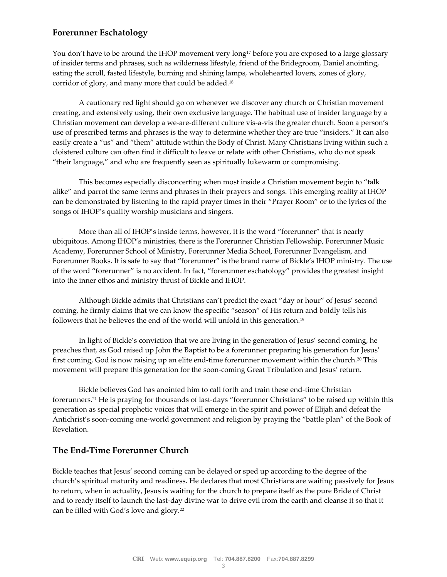# **Forerunner Eschatology**

You don't have to be around the IHOP movement very long<sup>17</sup> before you are exposed to a large glossary of insider terms and phrases, such as wilderness lifestyle, friend of the Bridegroom, Daniel anointing, eating the scroll, fasted lifestyle, burning and shining lamps, wholehearted lovers, zones of glory, corridor of glory, and many more that could be added.18

A cautionary red light should go on whenever we discover any church or Christian movement creating, and extensively using, their own exclusive language. The habitual use of insider language by a Christian movement can develop a we-are-different culture vis-a-vis the greater church. Soon a person's use of prescribed terms and phrases is the way to determine whether they are true "insiders." It can also easily create a "us" and "them" attitude within the Body of Christ. Many Christians living within such a cloistered culture can often find it difficult to leave or relate with other Christians, who do not speak "their language," and who are frequently seen as spiritually lukewarm or compromising.

This becomes especially disconcerting when most inside a Christian movement begin to "talk alike" and parrot the same terms and phrases in their prayers and songs. This emerging reality at IHOP can be demonstrated by listening to the rapid prayer times in their "Prayer Room" or to the lyrics of the songs of IHOP's quality worship musicians and singers.

More than all of IHOP's inside terms, however, it is the word "forerunner" that is nearly ubiquitous. Among IHOP's ministries, there is the Forerunner Christian Fellowship, Forerunner Music Academy, Forerunner School of Ministry, Forerunner Media School, Forerunner Evangelism, and Forerunner Books. It is safe to say that "forerunner" is the brand name of Bickle's IHOP ministry. The use of the word "forerunner" is no accident. In fact, "forerunner eschatology" provides the greatest insight into the inner ethos and ministry thrust of Bickle and IHOP.

Although Bickle admits that Christians can't predict the exact "day or hour" of Jesus' second coming, he firmly claims that we can know the specific "season" of His return and boldly tells his followers that he believes the end of the world will unfold in this generation.19

In light of Bickle's conviction that we are living in the generation of Jesus' second coming, he preaches that, as God raised up John the Baptist to be a forerunner preparing his generation for Jesus' first coming, God is now raising up an elite end-time forerunner movement within the church.20 This movement will prepare this generation for the soon-coming Great Tribulation and Jesus' return.

Bickle believes God has anointed him to call forth and train these end-time Christian forerunners.21 He is praying for thousands of last-days "forerunner Christians" to be raised up within this generation as special prophetic voices that will emerge in the spirit and power of Elijah and defeat the Antichrist's soon-coming one-world government and religion by praying the "battle plan" of the Book of Revelation.

## **The End-Time Forerunner Church**

Bickle teaches that Jesus' second coming can be delayed or sped up according to the degree of the church's spiritual maturity and readiness. He declares that most Christians are waiting passively for Jesus to return, when in actuality, Jesus is waiting for the church to prepare itself as the pure Bride of Christ and to ready itself to launch the last-day divine war to drive evil from the earth and cleanse it so that it can be filled with God's love and glory.22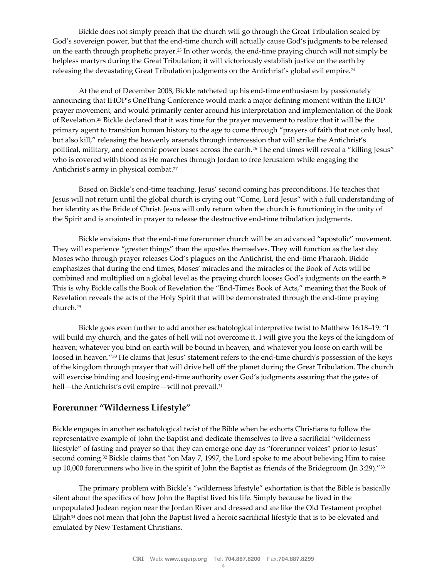Bickle does not simply preach that the church will go through the Great Tribulation sealed by God's sovereign power, but that the end-time church will actually cause God's judgments to be released on the earth through prophetic prayer.23 In other words, the end-time praying church will not simply be helpless martyrs during the Great Tribulation; it will victoriously establish justice on the earth by releasing the devastating Great Tribulation judgments on the Antichrist's global evil empire.<sup>24</sup>

At the end of December 2008, Bickle ratcheted up his end-time enthusiasm by passionately announcing that IHOP's OneThing Conference would mark a major defining moment within the IHOP prayer movement, and would primarily center around his interpretation and implementation of the Book of Revelation.25 Bickle declared that it was time for the prayer movement to realize that it will be the primary agent to transition human history to the age to come through "prayers of faith that not only heal, but also kill," releasing the heavenly arsenals through intercession that will strike the Antichrist's political, military, and economic power bases across the earth.<sup>26</sup> The end times will reveal a "killing Jesus" who is covered with blood as He marches through Jordan to free Jerusalem while engaging the Antichrist's army in physical combat.27

Based on Bickle's end-time teaching, Jesus' second coming has preconditions. He teaches that Jesus will not return until the global church is crying out "Come, Lord Jesus" with a full understanding of her identity as the Bride of Christ. Jesus will only return when the church is functioning in the unity of the Spirit and is anointed in prayer to release the destructive end-time tribulation judgments.

Bickle envisions that the end-time forerunner church will be an advanced "apostolic" movement. They will experience "greater things" than the apostles themselves. They will function as the last day Moses who through prayer releases God's plagues on the Antichrist, the end-time Pharaoh. Bickle emphasizes that during the end times, Moses' miracles and the miracles of the Book of Acts will be combined and multiplied on a global level as the praying church looses God's judgments on the earth.28 This is why Bickle calls the Book of Revelation the "End-Times Book of Acts," meaning that the Book of Revelation reveals the acts of the Holy Spirit that will be demonstrated through the end-time praying church.29

Bickle goes even further to add another eschatological interpretive twist to Matthew 16:18–19: "I will build my church, and the gates of hell will not overcome it. I will give you the keys of the kingdom of heaven; whatever you bind on earth will be bound in heaven, and whatever you loose on earth will be loosed in heaven."30 He claims that Jesus' statement refers to the end-time church's possession of the keys of the kingdom through prayer that will drive hell off the planet during the Great Tribulation. The church will exercise binding and loosing end-time authority over God's judgments assuring that the gates of hell-the Antichrist's evil empire-will not prevail.<sup>31</sup>

## **Forerunner "Wilderness Lifestyle"**

Bickle engages in another eschatological twist of the Bible when he exhorts Christians to follow the representative example of John the Baptist and dedicate themselves to live a sacrificial "wilderness lifestyle" of fasting and prayer so that they can emerge one day as "forerunner voices" prior to Jesus' second coming.<sup>32</sup> Bickle claims that "on May 7, 1997, the Lord spoke to me about believing Him to raise up 10,000 forerunners who live in the spirit of John the Baptist as friends of the Bridegroom (Jn 3:29)."33

The primary problem with Bickle's "wilderness lifestyle" exhortation is that the Bible is basically silent about the specifics of how John the Baptist lived his life. Simply because he lived in the unpopulated Judean region near the Jordan River and dressed and ate like the Old Testament prophet Elijah<sup>34</sup> does not mean that John the Baptist lived a heroic sacrificial lifestyle that is to be elevated and emulated by New Testament Christians.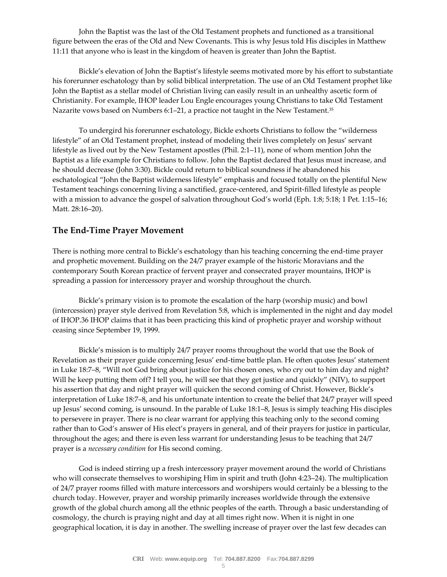John the Baptist was the last of the Old Testament prophets and functioned as a transitional figure between the eras of the Old and New Covenants. This is why Jesus told His disciples in Matthew 11:11 that anyone who is least in the kingdom of heaven is greater than John the Baptist.

Bickle's elevation of John the Baptist's lifestyle seems motivated more by his effort to substantiate his forerunner eschatology than by solid biblical interpretation. The use of an Old Testament prophet like John the Baptist as a stellar model of Christian living can easily result in an unhealthy ascetic form of Christianity. For example, IHOP leader Lou Engle encourages young Christians to take Old Testament Nazarite vows based on Numbers 6:1–21, a practice not taught in the New Testament.35

To undergird his forerunner eschatology, Bickle exhorts Christians to follow the "wilderness lifestyle" of an Old Testament prophet, instead of modeling their lives completely on Jesus' servant lifestyle as lived out by the New Testament apostles (Phil. 2:1–11), none of whom mention John the Baptist as a life example for Christians to follow. John the Baptist declared that Jesus must increase, and he should decrease (John 3:30). Bickle could return to biblical soundness if he abandoned his eschatological "John the Baptist wilderness lifestyle" emphasis and focused totally on the plentiful New Testament teachings concerning living a sanctified, grace-centered, and Spirit-filled lifestyle as people with a mission to advance the gospel of salvation throughout God's world (Eph. 1:8; 5:18; 1 Pet. 1:15–16; Matt. 28:16–20).

## **The End-Time Prayer Movement**

There is nothing more central to Bickle's eschatology than his teaching concerning the end-time prayer and prophetic movement. Building on the 24/7 prayer example of the historic Moravians and the contemporary South Korean practice of fervent prayer and consecrated prayer mountains, IHOP is spreading a passion for intercessory prayer and worship throughout the church.

Bickle's primary vision is to promote the escalation of the harp (worship music) and bowl (intercession) prayer style derived from Revelation 5:8, which is implemented in the night and day model of IHOP.36 IHOP claims that it has been practicing this kind of prophetic prayer and worship without ceasing since September 19, 1999.

Bickle's mission is to multiply 24/7 prayer rooms throughout the world that use the Book of Revelation as their prayer guide concerning Jesus' end-time battle plan. He often quotes Jesus' statement in Luke 18:7–8, "Will not God bring about justice for his chosen ones, who cry out to him day and night? Will he keep putting them off? I tell you, he will see that they get justice and quickly" (NIV), to support his assertion that day and night prayer will quicken the second coming of Christ. However, Bickle's interpretation of Luke 18:7–8, and his unfortunate intention to create the belief that 24/7 prayer will speed up Jesus' second coming, is unsound. In the parable of Luke 18:1–8, Jesus is simply teaching His disciples to persevere in prayer. There is no clear warrant for applying this teaching only to the second coming rather than to God's answer of His elect's prayers in general, and of their prayers for justice in particular, throughout the ages; and there is even less warrant for understanding Jesus to be teaching that 24/7 prayer is a *necessary condition* for His second coming.

God is indeed stirring up a fresh intercessory prayer movement around the world of Christians who will consecrate themselves to worshiping Him in spirit and truth (John 4:23–24). The multiplication of 24/7 prayer rooms filled with mature intercessors and worshipers would certainly be a blessing to the church today. However, prayer and worship primarily increases worldwide through the extensive growth of the global church among all the ethnic peoples of the earth. Through a basic understanding of cosmology, the church is praying night and day at all times right now. When it is night in one geographical location, it is day in another. The swelling increase of prayer over the last few decades can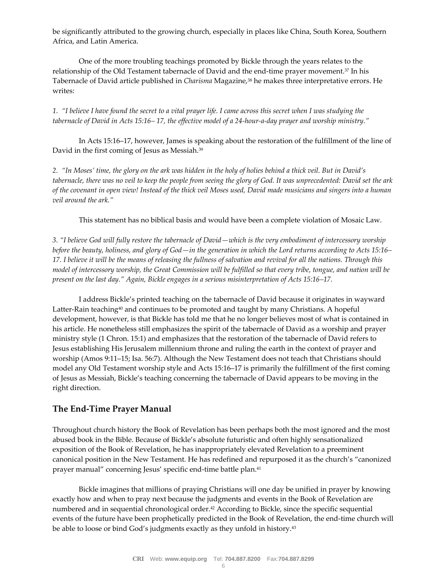be significantly attributed to the growing church, especially in places like China, South Korea, Southern Africa, and Latin America.

One of the more troubling teachings promoted by Bickle through the years relates to the relationship of the Old Testament tabernacle of David and the end-time prayer movement.37 In his Tabernacle of David article published in *Charisma* Magazine,38 he makes three interpretative errors. He writes:

*1. "I believe I have found the secret to a vital prayer life. I came across this secret when I was studying the tabernacle of David in Acts 15:16– 17, the effective model of a 24-hour-a-day prayer and worship ministry."* 

In Acts 15:16–17, however, James is speaking about the restoration of the fulfillment of the line of David in the first coming of Jesus as Messiah.39

*2. "In Moses' time, the glory on the ark was hidden in the holy of holies behind a thick veil. But in David's tabernacle, there was no veil to keep the people from seeing the glory of God. It was unprecedented: David set the ark of the covenant in open view! Instead of the thick veil Moses used, David made musicians and singers into a human veil around the ark."* 

This statement has no biblical basis and would have been a complete violation of Mosaic Law.

*3. "I believe God will fully restore the tabernacle of David—which is the very embodiment of intercessory worship before the beauty, holiness, and glory of God—in the generation in which the Lord returns according to Acts 15:16– 17. I believe it will be the means of releasing the fullness of salvation and revival for all the nations. Through this model of intercessory worship, the Great Commission will be fulfilled so that every tribe, tongue, and nation will be present on the last day." Again, Bickle engages in a serious misinterpretation of Acts 15:16–17.* 

I address Bickle's printed teaching on the tabernacle of David because it originates in wayward Latter-Rain teaching<sup>40</sup> and continues to be promoted and taught by many Christians. A hopeful development, however, is that Bickle has told me that he no longer believes most of what is contained in his article. He nonetheless still emphasizes the spirit of the tabernacle of David as a worship and prayer ministry style (1 Chron. 15:1) and emphasizes that the restoration of the tabernacle of David refers to Jesus establishing His Jerusalem millennium throne and ruling the earth in the context of prayer and worship (Amos 9:11–15; Isa. 56:7). Although the New Testament does not teach that Christians should model any Old Testament worship style and Acts 15:16–17 is primarily the fulfillment of the first coming of Jesus as Messiah, Bickle's teaching concerning the tabernacle of David appears to be moving in the right direction.

## **The End-Time Prayer Manual**

Throughout church history the Book of Revelation has been perhaps both the most ignored and the most abused book in the Bible. Because of Bickle's absolute futuristic and often highly sensationalized exposition of the Book of Revelation, he has inappropriately elevated Revelation to a preeminent canonical position in the New Testament. He has redefined and repurposed it as the church's "canonized prayer manual" concerning Jesus' specific end-time battle plan.41

Bickle imagines that millions of praying Christians will one day be unified in prayer by knowing exactly how and when to pray next because the judgments and events in the Book of Revelation are numbered and in sequential chronological order.<sup>42</sup> According to Bickle, since the specific sequential events of the future have been prophetically predicted in the Book of Revelation, the end-time church will be able to loose or bind God's judgments exactly as they unfold in history.<sup>43</sup>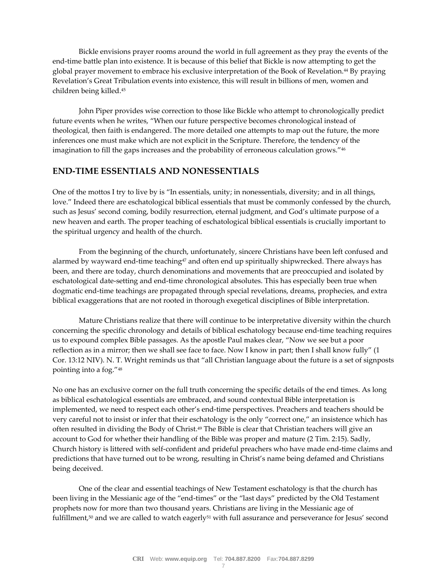Bickle envisions prayer rooms around the world in full agreement as they pray the events of the end-time battle plan into existence. It is because of this belief that Bickle is now attempting to get the global prayer movement to embrace his exclusive interpretation of the Book of Revelation.44 By praying Revelation's Great Tribulation events into existence, this will result in billions of men, women and children being killed.45

John Piper provides wise correction to those like Bickle who attempt to chronologically predict future events when he writes, "When our future perspective becomes chronological instead of theological, then faith is endangered. The more detailed one attempts to map out the future, the more inferences one must make which are not explicit in the Scripture. Therefore, the tendency of the imagination to fill the gaps increases and the probability of erroneous calculation grows."46

## **END-TIME ESSENTIALS AND NONESSENTIALS**

One of the mottos I try to live by is "In essentials, unity; in nonessentials, diversity; and in all things, love." Indeed there are eschatological biblical essentials that must be commonly confessed by the church, such as Jesus' second coming, bodily resurrection, eternal judgment, and God's ultimate purpose of a new heaven and earth. The proper teaching of eschatological biblical essentials is crucially important to the spiritual urgency and health of the church.

From the beginning of the church, unfortunately, sincere Christians have been left confused and alarmed by wayward end-time teaching<sup>47</sup> and often end up spiritually shipwrecked. There always has been, and there are today, church denominations and movements that are preoccupied and isolated by eschatological date-setting and end-time chronological absolutes. This has especially been true when dogmatic end-time teachings are propagated through special revelations, dreams, prophecies, and extra biblical exaggerations that are not rooted in thorough exegetical disciplines of Bible interpretation.

Mature Christians realize that there will continue to be interpretative diversity within the church concerning the specific chronology and details of biblical eschatology because end-time teaching requires us to expound complex Bible passages. As the apostle Paul makes clear, "Now we see but a poor reflection as in a mirror; then we shall see face to face. Now I know in part; then I shall know fully" (1 Cor. 13:12 NIV). N. T. Wright reminds us that "all Christian language about the future is a set of signposts pointing into a fog."48

No one has an exclusive corner on the full truth concerning the specific details of the end times. As long as biblical eschatological essentials are embraced, and sound contextual Bible interpretation is implemented, we need to respect each other's end-time perspectives. Preachers and teachers should be very careful not to insist or infer that their eschatology is the only "correct one," an insistence which has often resulted in dividing the Body of Christ.49 The Bible is clear that Christian teachers will give an account to God for whether their handling of the Bible was proper and mature (2 Tim. 2:15). Sadly, Church history is littered with self-confident and prideful preachers who have made end-time claims and predictions that have turned out to be wrong, resulting in Christ's name being defamed and Christians being deceived.

One of the clear and essential teachings of New Testament eschatology is that the church has been living in the Messianic age of the "end-times" or the "last days" predicted by the Old Testament prophets now for more than two thousand years. Christians are living in the Messianic age of fulfillment, $50$  and we are called to watch eagerly $51$  with full assurance and perseverance for Jesus' second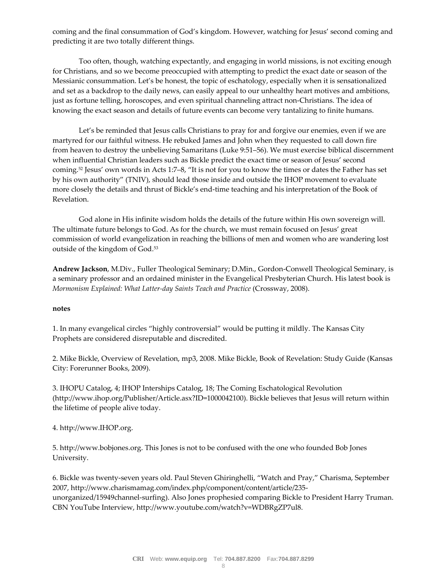coming and the final consummation of God's kingdom. However, watching for Jesus' second coming and predicting it are two totally different things.

Too often, though, watching expectantly, and engaging in world missions, is not exciting enough for Christians, and so we become preoccupied with attempting to predict the exact date or season of the Messianic consummation. Let's be honest, the topic of eschatology, especially when it is sensationalized and set as a backdrop to the daily news, can easily appeal to our unhealthy heart motives and ambitions, just as fortune telling, horoscopes, and even spiritual channeling attract non-Christians. The idea of knowing the exact season and details of future events can become very tantalizing to finite humans.

Let's be reminded that Jesus calls Christians to pray for and forgive our enemies, even if we are martyred for our faithful witness. He rebuked James and John when they requested to call down fire from heaven to destroy the unbelieving Samaritans (Luke 9:51–56). We must exercise biblical discernment when influential Christian leaders such as Bickle predict the exact time or season of Jesus' second coming.52 Jesus' own words in Acts 1:7–8, "It is not for you to know the times or dates the Father has set by his own authority" (TNIV), should lead those inside and outside the IHOP movement to evaluate more closely the details and thrust of Bickle's end-time teaching and his interpretation of the Book of Revelation.

God alone in His infinite wisdom holds the details of the future within His own sovereign will. The ultimate future belongs to God. As for the church, we must remain focused on Jesus' great commission of world evangelization in reaching the billions of men and women who are wandering lost outside of the kingdom of God.53

**Andrew Jackson**, M.Div., Fuller Theological Seminary; D.Min., Gordon-Conwell Theological Seminary, is a seminary professor and an ordained minister in the Evangelical Presbyterian Church. His latest book is *Mormonism Explained: What Latter-day Saints Teach and Practice* (Crossway, 2008).

#### **notes**

1. In many evangelical circles "highly controversial" would be putting it mildly. The Kansas City Prophets are considered disreputable and discredited.

2. Mike Bickle, Overview of Revelation, mp3, 2008. Mike Bickle, Book of Revelation: Study Guide (Kansas City: Forerunner Books, 2009).

3. IHOPU Catalog, 4; IHOP Interships Catalog, 18; The Coming Eschatological Revolution (http://www.ihop.org/Publisher/Article.asx?ID=1000042100). Bickle believes that Jesus will return within the lifetime of people alive today.

#### 4. http://www.IHOP.org.

5. http://www.bobjones.org. This Jones is not to be confused with the one who founded Bob Jones University.

6. Bickle was twenty-seven years old. Paul Steven Ghiringhelli, "Watch and Pray," Charisma, September 2007, http://www.charismamag.com/index.php/component/content/article/235 unorganized/15949channel-surfing). Also Jones prophesied comparing Bickle to President Harry Truman. CBN YouTube Interview, http://www.youtube.com/watch?v=WDBRgZP7ul8.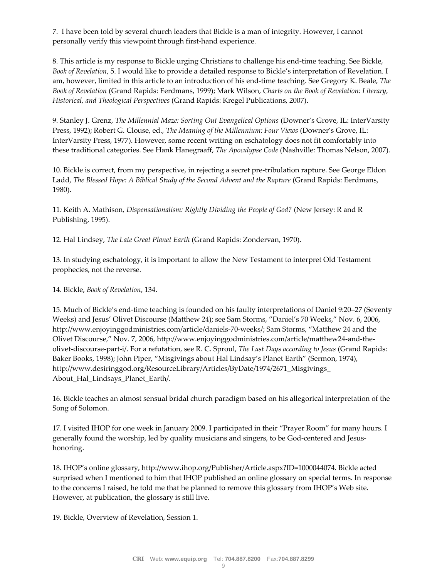7. I have been told by several church leaders that Bickle is a man of integrity. However, I cannot personally verify this viewpoint through first-hand experience.

8. This article is my response to Bickle urging Christians to challenge his end-time teaching. See Bickle, *Book of Revelation*, 5. I would like to provide a detailed response to Bickle's interpretation of Revelation. I am, however, limited in this article to an introduction of his end-time teaching. See Gregory K. Beale, *The Book of Revelation* (Grand Rapids: Eerdmans, 1999); Mark Wilson, *Charts on the Book of Revelation: Literary, Historical, and Theological Perspectives* (Grand Rapids: Kregel Publications, 2007).

9. Stanley J. Grenz, *The Millennial Maze: Sorting Out Evangelical Options* (Downer's Grove, IL: InterVarsity Press, 1992); Robert G. Clouse, ed., *The Meaning of the Millennium: Four Views* (Downer's Grove, IL: InterVarsity Press, 1977). However, some recent writing on eschatology does not fit comfortably into these traditional categories. See Hank Hanegraaff, *The Apocalypse Code* (Nashville: Thomas Nelson, 2007).

10. Bickle is correct, from my perspective, in rejecting a secret pre-tribulation rapture. See George Eldon Ladd, *The Blessed Hope: A Biblical Study of the Second Advent and the Rapture* (Grand Rapids: Eerdmans, 1980).

11. Keith A. Mathison, *Dispensationalism: Rightly Dividing the People of God?* (New Jersey: R and R Publishing, 1995).

12. Hal Lindsey, *The Late Great Planet Earth* (Grand Rapids: Zondervan, 1970).

13. In studying eschatology, it is important to allow the New Testament to interpret Old Testament prophecies, not the reverse.

14. Bickle, *Book of Revelation*, 134.

15. Much of Bickle's end-time teaching is founded on his faulty interpretations of Daniel 9:20–27 (Seventy Weeks) and Jesus' Olivet Discourse (Matthew 24); see Sam Storms, "Daniel's 70 Weeks," Nov. 6, 2006, http://www.enjoyinggodministries.com/article/daniels-70-weeks/; Sam Storms, "Matthew 24 and the Olivet Discourse," Nov. 7, 2006, http://www.enjoyinggodministries.com/article/matthew24-and-theolivet-discourse-part-i/. For a refutation, see R. C. Sproul, *The Last Days according to Jesus* (Grand Rapids: Baker Books, 1998); John Piper, "Misgivings about Hal Lindsay's Planet Earth" (Sermon, 1974), http://www.desiringgod.org/ResourceLibrary/Articles/ByDate/1974/2671\_Misgivings\_ About\_Hal\_Lindsays\_Planet\_Earth/.

16. Bickle teaches an almost sensual bridal church paradigm based on his allegorical interpretation of the Song of Solomon.

17. I visited IHOP for one week in January 2009. I participated in their "Prayer Room" for many hours. I generally found the worship, led by quality musicians and singers, to be God-centered and Jesushonoring.

18. IHOP's online glossary, http://www.ihop.org/Publisher/Article.aspx?ID=1000044074. Bickle acted surprised when I mentioned to him that IHOP published an online glossary on special terms. In response to the concerns I raised, he told me that he planned to remove this glossary from IHOP's Web site. However, at publication, the glossary is still live.

19. Bickle, Overview of Revelation, Session 1.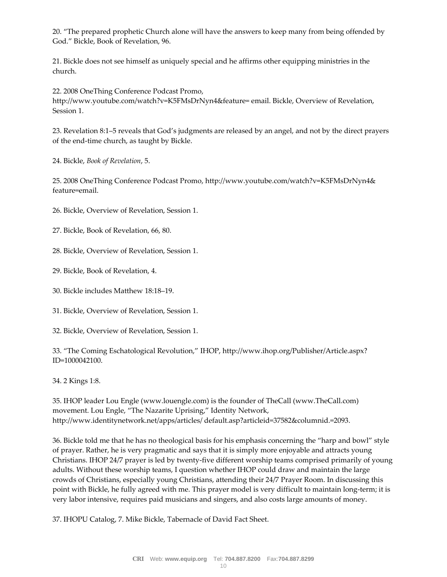20. "The prepared prophetic Church alone will have the answers to keep many from being offended by God." Bickle, Book of Revelation, 96.

21. Bickle does not see himself as uniquely special and he affirms other equipping ministries in the church.

22. 2008 OneThing Conference Podcast Promo, http://www.youtube.com/watch?v=K5FMsDrNyn4&feature= email. Bickle, Overview of Revelation, Session 1.

23. Revelation 8:1–5 reveals that God's judgments are released by an angel, and not by the direct prayers of the end-time church, as taught by Bickle.

24. Bickle, *Book of Revelation*, 5.

25. 2008 OneThing Conference Podcast Promo, http://www.youtube.com/watch?v=K5FMsDrNyn4& feature=email.

26. Bickle, Overview of Revelation, Session 1.

27. Bickle, Book of Revelation, 66, 80.

28. Bickle, Overview of Revelation, Session 1.

29. Bickle, Book of Revelation, 4.

- 30. Bickle includes Matthew 18:18–19.
- 31. Bickle, Overview of Revelation, Session 1.
- 32. Bickle, Overview of Revelation, Session 1.

33. "The Coming Eschatological Revolution," IHOP, http://www.ihop.org/Publisher/Article.aspx? ID=1000042100.

34. 2 Kings 1:8.

35. IHOP leader Lou Engle (www.louengle.com) is the founder of TheCall (www.TheCall.com) movement. Lou Engle, "The Nazarite Uprising," Identity Network, http://www.identitynetwork.net/apps/articles/ default.asp?articleid=37582&columnid.=2093.

36. Bickle told me that he has no theological basis for his emphasis concerning the "harp and bowl" style of prayer. Rather, he is very pragmatic and says that it is simply more enjoyable and attracts young Christians. IHOP 24/7 prayer is led by twenty-five different worship teams comprised primarily of young adults. Without these worship teams, I question whether IHOP could draw and maintain the large crowds of Christians, especially young Christians, attending their 24/7 Prayer Room. In discussing this point with Bickle, he fully agreed with me. This prayer model is very difficult to maintain long-term; it is very labor intensive, requires paid musicians and singers, and also costs large amounts of money.

37. IHOPU Catalog, 7. Mike Bickle, Tabernacle of David Fact Sheet.